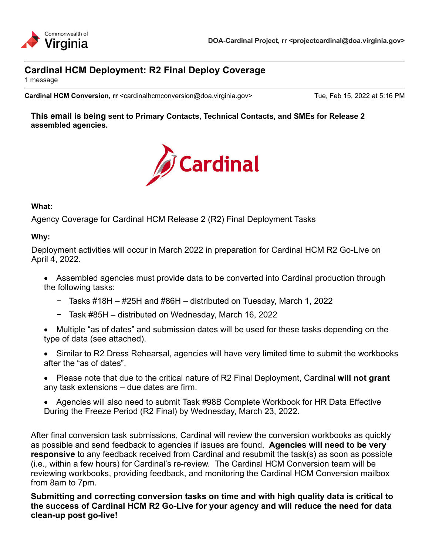

# **Cardinal HCM Deployment: R2 Final Deploy Coverage**

1 message

**Cardinal HCM Conversion, rr** <cardinalhcmconversion@doa.virginia.gov> Tue, Feb 15, 2022 at 5:16 PM

**This email is being sent to Primary Contacts, Technical Contacts, and SMEs for Release 2 assembled agencies.**



#### **What:**

Agency Coverage for Cardinal HCM Release 2 (R2) Final Deployment Tasks

## **Why:**

Deployment activities will occur in March 2022 in preparation for Cardinal HCM R2 Go-Live on April 4, 2022.

- Assembled agencies must provide data to be converted into Cardinal production through the following tasks:
	- − Tasks #18H #25H and #86H distributed on Tuesday, March 1, 2022
	- − Task #85H distributed on Wednesday, March 16, 2022
- · Multiple "as of dates" and submission dates will be used for these tasks depending on the type of data (see attached).
- · Similar to R2 Dress Rehearsal, agencies will have very limited time to submit the workbooks after the "as of dates".
- · Please note that due to the critical nature of R2 Final Deployment, Cardinal **will not grant** any task extensions – due dates are firm.
- · Agencies will also need to submit Task #98B Complete Workbook for HR Data Effective During the Freeze Period (R2 Final) by Wednesday, March 23, 2022.

After final conversion task submissions, Cardinal will review the conversion workbooks as quickly as possible and send feedback to agencies if issues are found. **Agencies will need to be very responsive** to any feedback received from Cardinal and resubmit the task(s) as soon as possible (i.e., within a few hours) for Cardinal's re-review. The Cardinal HCM Conversion team will be reviewing workbooks, providing feedback, and monitoring the Cardinal HCM Conversion mailbox from 8am to 7pm.

**Submitting and correcting conversion tasks on time and with high quality data is critical to the success of Cardinal HCM R2 Go-Live for your agency and will reduce the need for data clean-up post go-live!**